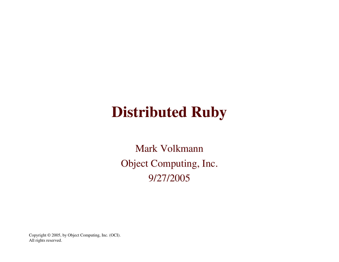# **Distributed Ruby**

Mark Volkmann Object Computing, Inc. 9/27/2005

Copyright © 2005, by Object Computing, Inc. (OCI). All rights reserved.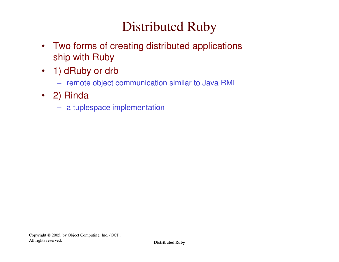## Distributed Ruby

- $\bullet$  Two forms of creating distributed applications ship with Ruby
- 1) dRuby or drb
	- remote object communication similar to Java RMI
- 2) Rinda
	- <sup>a</sup> tuplespace implementation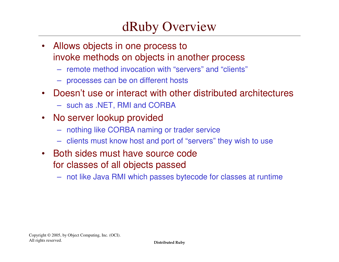### dRuby Overview

- $\bullet$  Allows objects in one process to invoke methods on objects in another process
	- remote method invocation with "servers" and "clients"
	- processes can be on different hosts
- Doesn't use or interact with other distributed architectures
	- such as .NET, RMI and CORBA
- $\bullet$ • No server lookup provided
	- nothing like CORBA naming or trader service
	- clients must know host and port of "servers" they wish to use
- Both sides must have source code for classes of all objects passed
	- not like Java RMI which passes bytecode for classes at runtime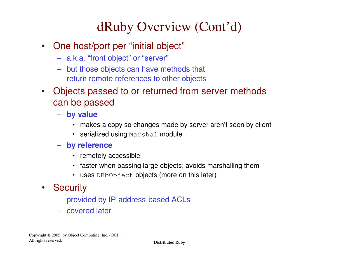### dRuby Overview (Cont'd)

- $\bullet$ • One host/port per "initial object"
	- a.k.a. "front object" or "server"
	- but those objects can have methods that return remote references to other objects
- $\bullet$  Objects passed to or returned from server methods can be passed
	- **by value**
		- makes a copy so changes made by server aren't seen by client
		- serialized using Marshal module
	- **by reference**
		- remotely accessible
		- faster when passing large objects; avoids marshalling them
		- uses DRbObject **objects (more on this later)**
- •**Security** 
	- provided by IP-address-based ACLs
	- covered later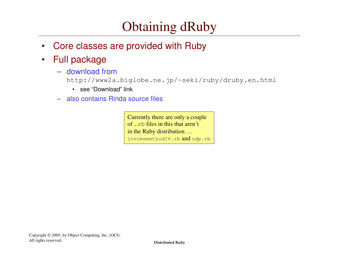## Obtaining dRuby

- •Core classes are provided with Ruby
- $\bullet$  Full package
	- download from

http://www2a.biglobe.ne.jp/~seki/ruby/druby.en.html

- see "Download" link
- also contains Rinda source files

Currently there are only <sup>a</sup> couple of .rb files in this that aren't in the Ruby distribution … invokemethod16.rb  $and$   $u$ dp.rb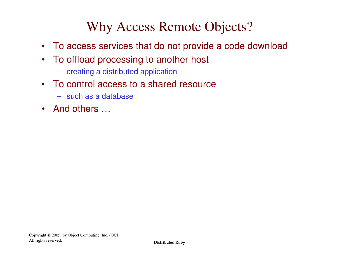### Why Access Remote Objects?

- To access services that do not provide <sup>a</sup> code download
- $\bullet$  To offload processing to another host
	- creating <sup>a</sup> distributed application
- • To control access to a shared resource
	- such as a database
- And others …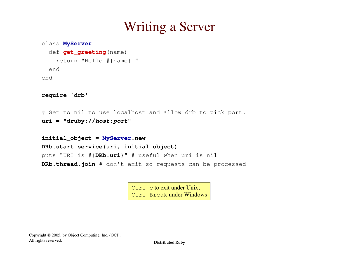### Writing <sup>a</sup> Server

```
class MyServer
```

```
def get_greeting(name)
    return "Hello #{name}!"
 endend
```

```
require 'drb'
```

```
# Set to nil to use localhost and allow drb to pick port.
uri = "druby://host:port"
```

```
initial
_
object = MyServer.new
DRb.start
_
service(uri, initial_object)
puts "URI is #{DRb.uri}" # useful when uri is nil
DRb.thread.join # don't exit so requests can be processed
```
Ctrl-c to exit under Unix; Ctrl-Break under Windows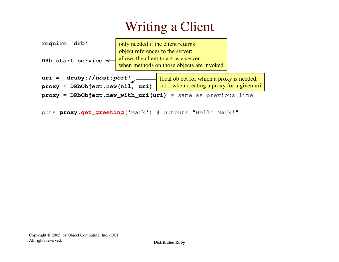# Writing <sup>a</sup> Client

| require 'drb'                                               | only needed if the client returns | allows the client to act as a server      |  |
|-------------------------------------------------------------|-----------------------------------|-------------------------------------------|--|
| DRb.start_service $\leftarrow$                              | object references to the server;  | when methods on those objects are invoked |  |
| $uri = 'druby://host:port'$                                 |                                   | local object for which a proxy is needed; |  |
| $proxy = DRbObject.new(nil, uri)$                           |                                   | nil when creating a proxy for a given uri |  |
| proxy = DRbObject.new_with_uri(uri) # same as previous line |                                   |                                           |  |

```
puts proxy.get_greeting('Mark') # outputs "Hello Mark!"
```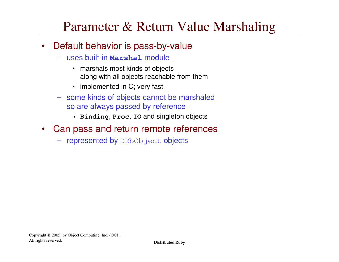### Parameter & Return Value Marshaling

- $\bullet$ • Default behavior is pass-by-value
	- uses built-in **Marshal** module
		- marshals most kinds of objects along with all objects reachable from them
		- implemented in C; very fast
	- some kinds of objects cannot be marshaled so are always passed by reference
		- **Binding**, **Proc**, **IO** and singleton objects
- $\bullet$  Can pass and return remote references
	- **represented by** DRbObject objects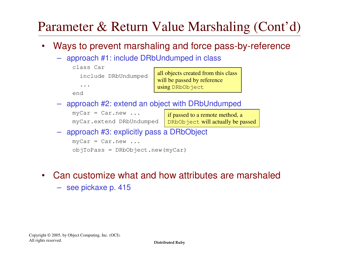## Parameter & Return Value Marshaling (Cont'd)

- $\bullet$  Ways to prevent marshaling and force pass-by-reference
	- approach #1: include DRbUndumped in class

| class Car            |                                     |
|----------------------|-------------------------------------|
| include DRbUndumped  | all objects created from this class |
|                      | will be passed by reference         |
| $\ddot{\phantom{a}}$ | using DRbObject                     |
| end                  |                                     |

– approach #2: extend an object with DRbUndumped

 $myCar = Car.new ...$ 

myCar.extend DRbUndumped

if passed to <sup>a</sup> remote method, <sup>a</sup> DRbObject will actually be passed

– approach #3: explicitly pass <sup>a</sup> DRbObject

 $myCar = Car.new ...$ objToPass <sup>=</sup> DRbObject.new(myCar)

- • Can customize what and how attributes are marshaled
	- see pickaxe p. 415

Copyright © 2005, by Object Computing, Inc. (OCI). All rights reserved.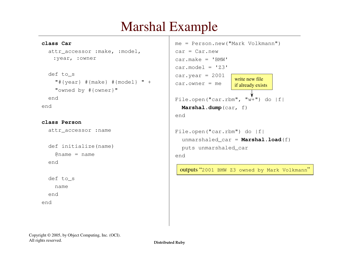### Marshal Example

| class Car                      | $me = Person.new("Mark Volkmann")$                       |
|--------------------------------|----------------------------------------------------------|
| attr_accessor : make, : model, | $car = Car.new$                                          |
| :year, :owner                  | $car.make = 'BMW'$                                       |
|                                | $car.model = 'Z3'$                                       |
| def to_s                       | $car.year = 2001$                                        |
| "#{year} #{make} #{model} " +  | write new file<br>$car. owner = me$<br>if already exists |
| "owned by #{owner}"            |                                                          |
| end                            | File.open("car.rbm", " $w+$ ") do  f                     |
| end                            | Marshal.dump $(car, f)$                                  |
|                                | end                                                      |
| class Person                   |                                                          |
| attr_accessor :name            | File.open("car.rbm") do $ f $                            |
|                                | unmarshaled_car = $Marsha1.load(f)$                      |
| def initialize (name)          | puts unmarshaled_car                                     |
| $\theta$ name = name           | end                                                      |
| end                            |                                                          |
|                                | outputs "2001 BMW Z3 owned by Mark Volkmann"             |
| def to_s                       |                                                          |
| name                           |                                                          |
| end                            |                                                          |
| end                            |                                                          |
|                                |                                                          |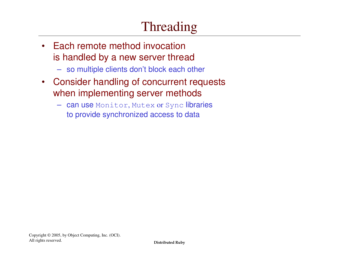# Threading

- •• Each remote method invocation is handled by <sup>a</sup> new server thread
	- so multiple clients don't block each other
- $\bullet$  Consider handling of concurrent requests when implementing server methods
	- can use Monitor, Mutex or Sync libraries to provide synchronized access to data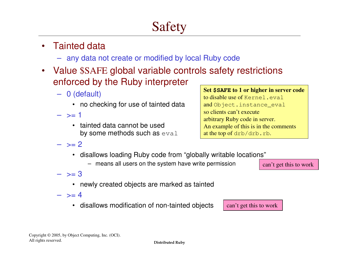# Safety

### •• Tainted data

- any data not create or modified by local Ruby code
- $\bullet$  Value \$SAFE global variable controls safety restrictions enforced by the Ruby interpreter
	- 0 (default)
		- no checking for use of tainted data
	- $-$  >= 1
		- tainted data cannot be used by some methods such as eval

**Set \$SAFE to 1 or higher in server code** to disable use of Kernel.evaland Object.instance\_eval so clients can't execute arbitrary Ruby code in server. An example of this is in the comments at the top of  $\mathrm{drb}/\mathrm{drb}$  .  $\mathrm{rb}.$ 

- $>= 2$ 
	- disallows loading Ruby code from "globally writable locations"
		- means all users on the system have write permission

can't ge<sup>t</sup> this to work

- >= 3
	- newly created objects are marked as tainted
- $>=$  4
	- disallows modification of non-tainted objects

can't ge<sup>t</sup> this to work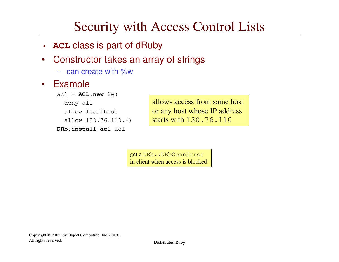## Security with Access Control Lists

- **ACL** class is part of dRuby
- $\bullet$  Constructor takes an array of strings
	- can create with %w
- $\bullet$ Example

```
acl = ACL.new %w(
 deny all
  allow localhost
  allow 130.76.110.*)
```

```
DRb.install
_
acl acl
```
allows access from same host or any host whose IP address starts with 130.76.110

get <sup>a</sup> DRb::DRbConnError in client when access is blocked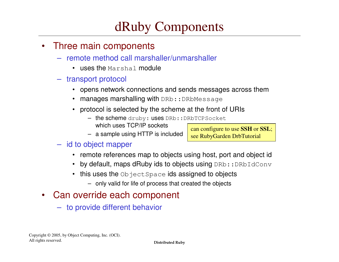### dRuby Components

- $\bullet$  Three main components
	- remote method call marshaller/unmarshaller
		- $\bullet\;$  uses the <code>Marshal</code> module
	- transport protocol
		- opens network connections and sends messages across them
		- manages marshalling with DRb::DRbMessage
		- protocol is selected by the scheme at the front of URIs
			- $-$  the scheme  $\texttt{druby: uses DRb::DRbTCPSocket}$ which uses TCP/IP sockets can configure to use **SSH** or **SSL**;
			- <sup>a</sup> sample using HTTP is included

### – id to object mapper

• remote references map to objects using host, port and object id

see RubyGarden DrbTutorial

- by default, maps dRuby ids to objects using <code>DRb::DRbIdConv</code>
- this uses the  $\circ$ bjectSpace ids assigned to objects
	- only valid for life of process that created the objects
- $\bullet$  Can override each component
	- to provide different behavior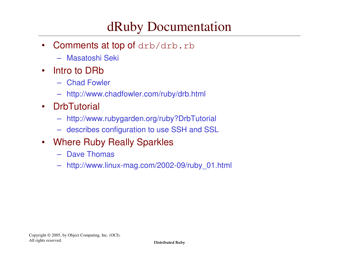### dRuby Documentation

- $\bullet$ • Comments at top of drb/drb.rb
	- Masatoshi Seki
- $\bullet$ • Intro to DRb
	- Chad Fowler
	- http://www.chadfowler.com/ruby/drb.html
- •**DrbTutorial** 
	- http://www.rubygarden.org/ruby?DrbTutorial
	- describes configuration to use SSH and SSL
- $\bullet$  Where Ruby Really Sparkles
	- Dave Thomas
	- http://www.linux-mag.com/2002-09/ruby\_01.html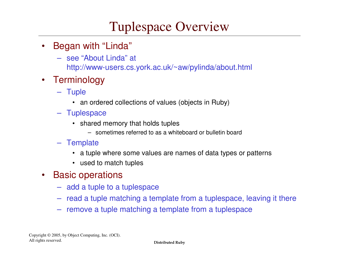### Tuplespace Overview

- • Began with "Linda"
	- see "About Linda" at http://www-users.cs.york.ac.uk/~aw/pylinda/about.html
- Terminology
	- Tuple
		- an ordered collections of values (objects in Ruby)
	- Tuplespace
		- shared memory that holds tuples
			- sometimes referred to as a whiteboard or bulletin board

### – Template

- a tuple where some values are names of data types or patterns
- used to match tuples
- $\bullet$ • Basic operations
	- add <sup>a</sup> tuple to <sup>a</sup> tuplespace
	- read <sup>a</sup> tuple matching <sup>a</sup> template from <sup>a</sup> tuplespace, leaving it there
	- remove <sup>a</sup> tuple matching <sup>a</sup> template from <sup>a</sup> tuplespace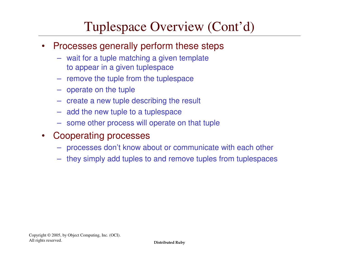### Tuplespace Overview (Cont'd)

- $\bullet$  Processes generally perform these steps
	- wait for <sup>a</sup> tuple matching <sup>a</sup> given template to appear in <sup>a</sup> given tuplespace
	- remove the tuple from the tuplespace
	- operate on the tuple
	- create a new tuple describing the result
	- add the new tuple to <sup>a</sup> tuplespace
	- some other process will operate on that tuple
- $\bullet$  Cooperating processes
	- –processes don't know about or communicate with each other
	- they simply add tuples to and remove tuples from tuplespaces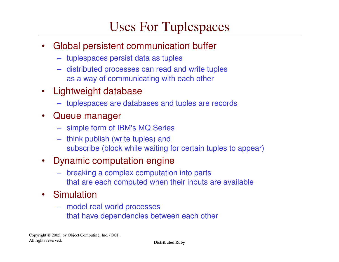## Uses For Tuplespaces

- $\bullet$  Global persistent communication buffer
	- tuplespaces persist data as tuples
	- distributed processes can read and write tuples as a way of communicating with each other
- $\bullet$  Lightweight database
	- tuplespaces are databases and tuples are records
- $\bullet$  Queue manager
	- simple form of IBM's MQ Series
	- think publish (write tuples) and subscribe (block while waiting for certain tuples to appear)
- • Dynamic computation engine
	- breaking <sup>a</sup> complex computation into parts that are each computed when their inputs are available
- Simulation
	- model real world processes that have dependencies between each other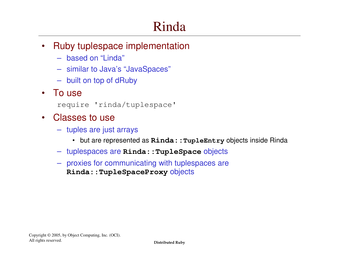# Rinda

- $\bullet$  Ruby tuplespace implementation
	- based on "Linda"
	- similar to Java's "JavaSpaces"
	- built on top of dRuby
- To use
	- require 'rinda/tuplespace'
- $\bullet$  Classes to use
	- tuples are just arrays
		- but are represented as **Rinda::TupleEntry** objects inside Rinda
	- tuplespaces are **Rinda::TupleSpace** objects
	- proxies for communicating with tuplespaces are **Rinda::TupleSpaceProxy** objects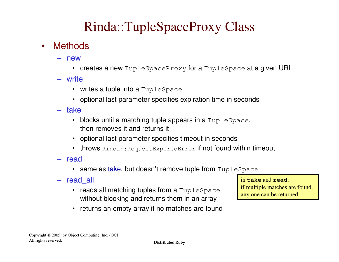### Rinda::TupleSpaceProxy Class

- •**Methods** 
	- new
		- $\bullet~$  creates a new <code>TupleSpaceProxy</code> for a <code>TupleSpace</code> at a given <code>URI</code>
	- write
		- $\bullet~$  writes a tuple into a <code>TupleSpace</code>
		- optional last parameter specifies expiration time in seconds
	- take
		- blocks until a matching tuple appears in a  $\texttt{Tuplespace},$ then removes it and returns it
		- optional last parameter specifies timeout in seconds
		- throws  $\text{\tt{Rinda::RequestExplore}$ redError if not found within timeout
	- read
		- same as take, but doesn't remove tuple from  $\texttt{Tuplespace}$
	- read all \_
		- $\bullet~$  reads all matching tuples from a  $\texttt{Tuples}$ ce without blocking and returns them in an array

in **take** and **read**,

if multiple matches are found, any one can be returned

• returns an empty array if no matches are found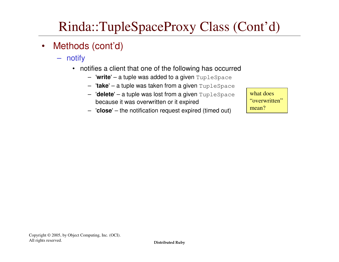## Rinda::TupleSpaceProxy Class (Cont'd)

- $\bullet$  Methods (cont'd)
	- notify
		- notifies a client that one of the following has occurred
			- '**write**'– <sup>a</sup> tuple was added to <sup>a</sup> given TupleSpace
			- '**take**'– <sup>a</sup> tuple was taken from <sup>a</sup> given TupleSpace
			- '**delete**'– <sup>a</sup> tuple was lost from <sup>a</sup> given TupleSpace because it was overwritten or it expired
			- '**close**'– the notification request expired (timed out)

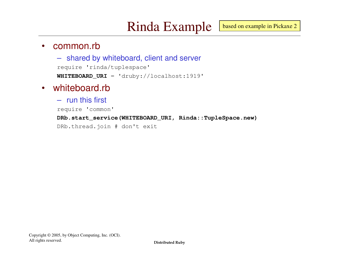#### $\bullet$ common.rb

– shared by whiteboard, client and server require 'rinda/tuplespace' **WHITEBOARD \_ URI** <sup>=</sup> 'druby://localhost:1919'

#### $\bullet$ whiteboard.rb

– run this first

require 'common'

**DRb.start \_ service(WHITEBOARD\_URI, Rinda::TupleSpace.new)**

DRb.thread.join # don't exit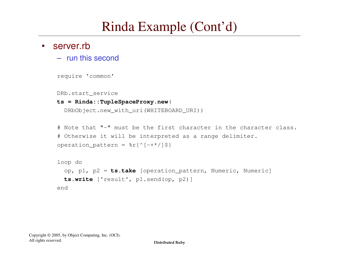## Rinda Example (Cont'd)

#### $\bullet$ server.rb

– run this second

```
require 'common'
```
DRb.start \_ service

### **ts <sup>=</sup> Rinda::TupleSpaceProxy.new**(

```
DRbObject.new_with_uri(WHITEBOARD_URI))
```

```
# Note that "-" must be the first character in the character class.
# Otherwise it will be interpreted as a range delimiter.
operation pattern = r({^{\wedge}}[-+^{\wedge}/]S)
```

```
loop do
  op, p1, p2 = ts.take [operation_pattern, Numeric, Numeric]
  ts.write ['result', p1.send(op, p2)]
end
```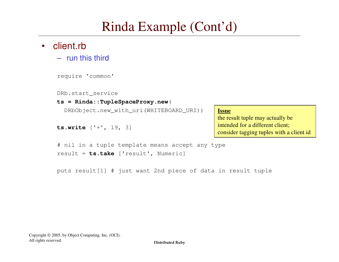## Rinda Example (Cont'd)

### • client.rb

– run this third

```
require 'common'
```
DRb.start \_ service

### **ts <sup>=</sup> Rinda::TupleSpaceProxy.new**(

result <sup>=</sup> **ts.take** ['result', Numeric]

DRbObject.new\_with\_uri(WHITEBOARD\_URI))

# nil in <sup>a</sup> tuple template means accept any type

```
ts.write ['+', 19, 3]
```
### **Issue**

the result tuple may actually be intended for <sup>a</sup> different client; consider tagging tuples with <sup>a</sup> client id

puts result[1] # just want 2nd piece of data in result tuple